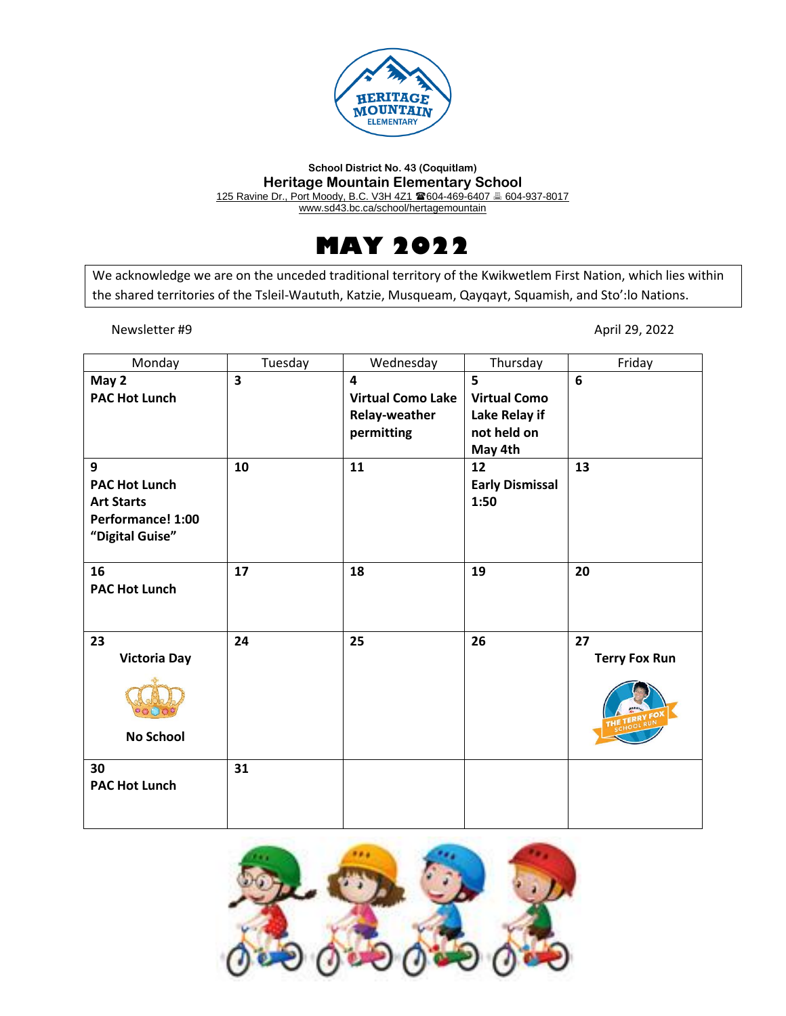

#### **School District No. 43 (Coquitlam) Heritage Mountain Elementary School** 125 Ravine Dr., Port Moody, B.C. V3H 4Z1 604-469-6407 604-937-8017 www.sd43.bc.ca/school/hertagemountain



We acknowledge we are on the unceded traditional territory of the Kwikwetlem First Nation, which lies within the shared territories of the Tsleil-Waututh, Katzie, Musqueam, Qayqayt, Squamish, and Sto':lo Nations.

Newsletter #9 April 29, 2022

| Monday                                                                                 | Tuesday                 | Wednesday                                                                                 | Thursday                                                            | Friday                     |
|----------------------------------------------------------------------------------------|-------------------------|-------------------------------------------------------------------------------------------|---------------------------------------------------------------------|----------------------------|
| May 2<br><b>PAC Hot Lunch</b>                                                          | $\overline{\mathbf{3}}$ | $\overline{\mathbf{4}}$<br><b>Virtual Como Lake</b><br><b>Relay-weather</b><br>permitting | 5<br><b>Virtual Como</b><br>Lake Relay if<br>not held on<br>May 4th | 6                          |
| 9<br><b>PAC Hot Lunch</b><br><b>Art Starts</b><br>Performance! 1:00<br>"Digital Guise" | 10                      | 11                                                                                        | 12<br><b>Early Dismissal</b><br>1:50                                | 13                         |
| 16<br><b>PAC Hot Lunch</b>                                                             | 17                      | 18                                                                                        | 19                                                                  | 20                         |
| 23<br><b>Victoria Day</b><br><b>No School</b>                                          | 24                      | 25                                                                                        | 26                                                                  | 27<br><b>Terry Fox Run</b> |
| 30<br><b>PAC Hot Lunch</b>                                                             | 31                      |                                                                                           |                                                                     |                            |

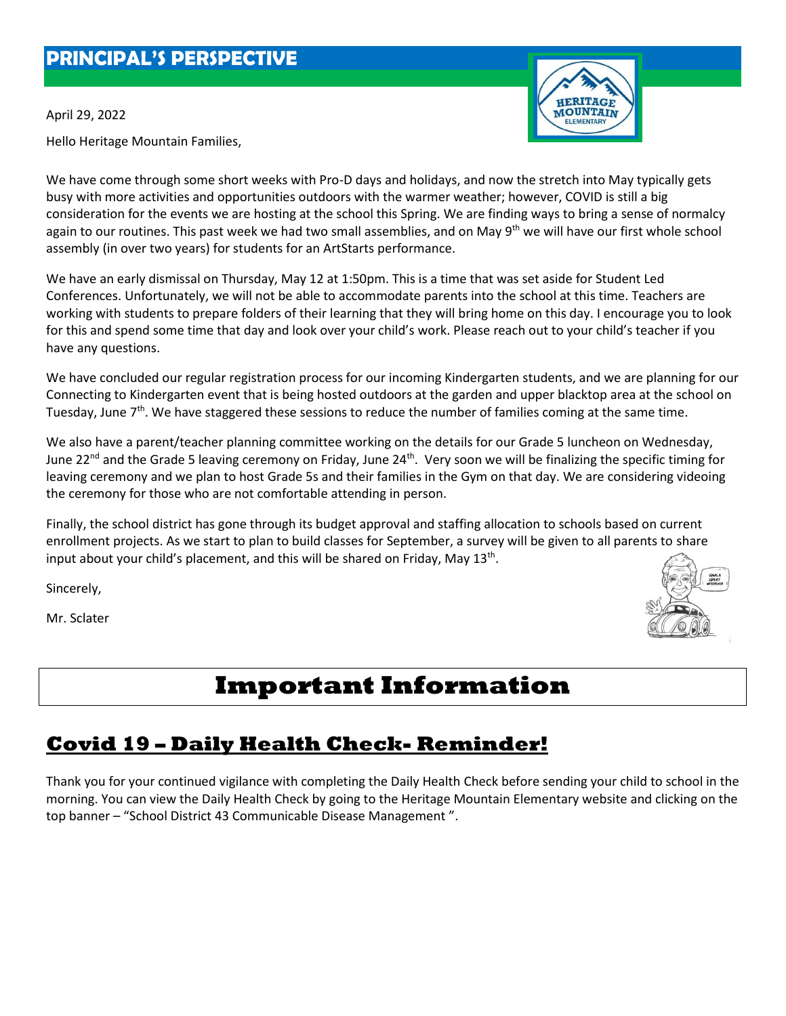#### **PRINCIPAL'S PERSPECTIVE**

April 29, 2022

Hello Heritage Mountain Families,

We have come through some short weeks with Pro-D days and holidays, and now the stretch into May typically gets busy with more activities and opportunities outdoors with the warmer weather; however, COVID is still a big consideration for the events we are hosting at the school this Spring. We are finding ways to bring a sense of normalcy again to our routines. This past week we had two small assemblies, and on May 9<sup>th</sup> we will have our first whole school assembly (in over two years) for students for an ArtStarts performance.

We have an early dismissal on Thursday, May 12 at 1:50pm. This is a time that was set aside for Student Led Conferences. Unfortunately, we will not be able to accommodate parents into the school at this time. Teachers are working with students to prepare folders of their learning that they will bring home on this day. I encourage you to look for this and spend some time that day and look over your child's work. Please reach out to your child's teacher if you have any questions.

We have concluded our regular registration process for our incoming Kindergarten students, and we are planning for our Connecting to Kindergarten event that is being hosted outdoors at the garden and upper blacktop area at the school on Tuesday, June 7<sup>th</sup>. We have staggered these sessions to reduce the number of families coming at the same time.

We also have a parent/teacher planning committee working on the details for our Grade 5 luncheon on Wednesday, June 22<sup>nd</sup> and the Grade 5 leaving ceremony on Friday, June 24<sup>th</sup>. Very soon we will be finalizing the specific timing for leaving ceremony and we plan to host Grade 5s and their families in the Gym on that day. We are considering videoing the ceremony for those who are not comfortable attending in person.

Finally, the school district has gone through its budget approval and staffing allocation to schools based on current enrollment projects. As we start to plan to build classes for September, a survey will be given to all parents to share input about your child's placement, and this will be shared on Friday, May  $13<sup>th</sup>$ .

Sincerely,

Mr. Sclater

## **Important Information**

## **Covid 19 – Daily Health Check- Reminder!**

Thank you for your continued vigilance with completing the Daily Health Check before sending your child to school in the morning. You can view the Daily Health Check by going to the Heritage Mountain Elementary website and clicking on the top banner – "School District 43 Communicable Disease Management ".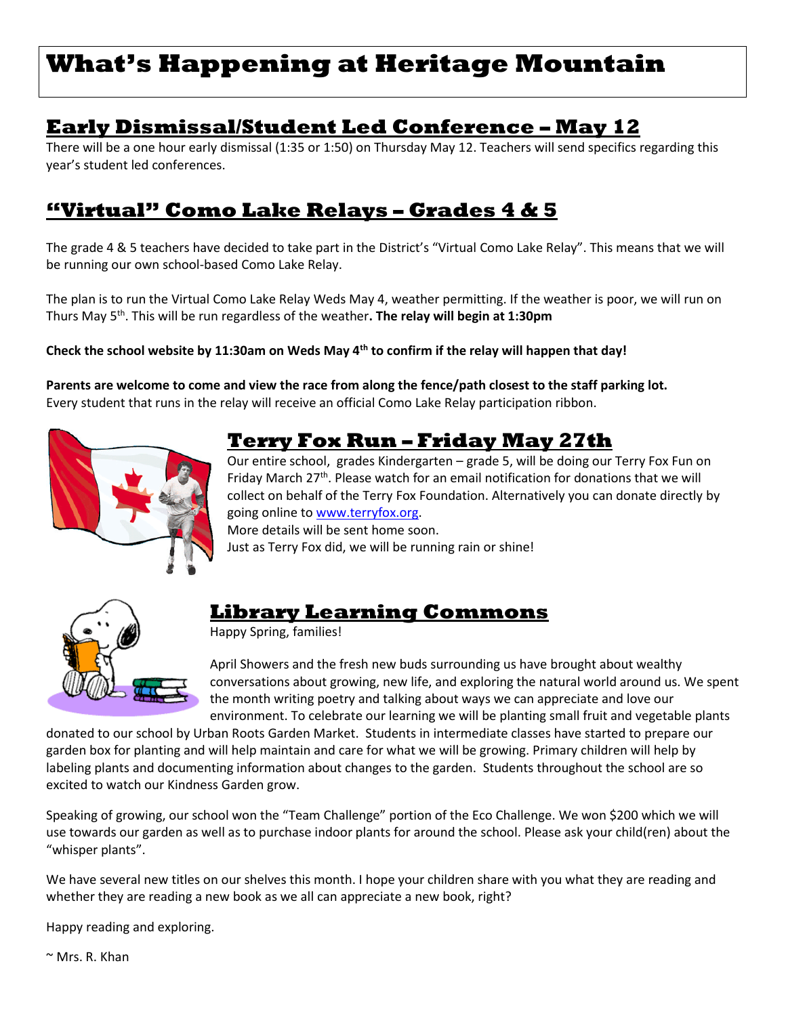# **What's Happening at Heritage Mountain**

#### **Early Dismissal/Student Led Conference – May 12**

There will be a one hour early dismissal (1:35 or 1:50) on Thursday May 12. Teachers will send specifics regarding this year's student led conferences.

## **"Virtual" Como Lake Relays – Grades 4 & 5**

The grade 4 & 5 teachers have decided to take part in the District's "Virtual Como Lake Relay". This means that we will be running our own school-based Como Lake Relay.

The plan is to run the Virtual Como Lake Relay Weds May 4, weather permitting. If the weather is poor, we will run on Thurs May 5<sup>th</sup>. This will be run regardless of the weather. **The relay will begin at 1:30pm** 

#### **Check the school website by 11:30am on Weds May 4th to confirm if the relay will happen that day!**

**Parents are welcome to come and view the race from along the fence/path closest to the staff parking lot.** Every student that runs in the relay will receive an official Como Lake Relay participation ribbon.



#### **Terry Fox Run – Friday May 27th**

Our entire school, grades Kindergarten – grade 5, will be doing our Terry Fox Fun on Friday March 27<sup>th</sup>. Please watch for an email notification for donations that we will collect on behalf of the Terry Fox Foundation. Alternatively you can donate directly by going online to [www.terryfox.org.](http://www.terryfox.org/) More details will be sent home soon.

Just as Terry Fox did, we will be running rain or shine!



#### **Library Learning Commons**

Happy Spring, families!

April Showers and the fresh new buds surrounding us have brought about wealthy conversations about growing, new life, and exploring the natural world around us. We spent the month writing poetry and talking about ways we can appreciate and love our environment. To celebrate our learning we will be planting small fruit and vegetable plants

donated to our school by Urban Roots Garden Market. Students in intermediate classes have started to prepare our garden box for planting and will help maintain and care for what we will be growing. Primary children will help by labeling plants and documenting information about changes to the garden. Students throughout the school are so excited to watch our Kindness Garden grow.

Speaking of growing, our school won the "Team Challenge" portion of the Eco Challenge. We won \$200 which we will use towards our garden as well as to purchase indoor plants for around the school. Please ask your child(ren) about the "whisper plants".

We have several new titles on our shelves this month. I hope your children share with you what they are reading and whether they are reading a new book as we all can appreciate a new book, right?

Happy reading and exploring.

 $\sim$  Mrs. R. Khan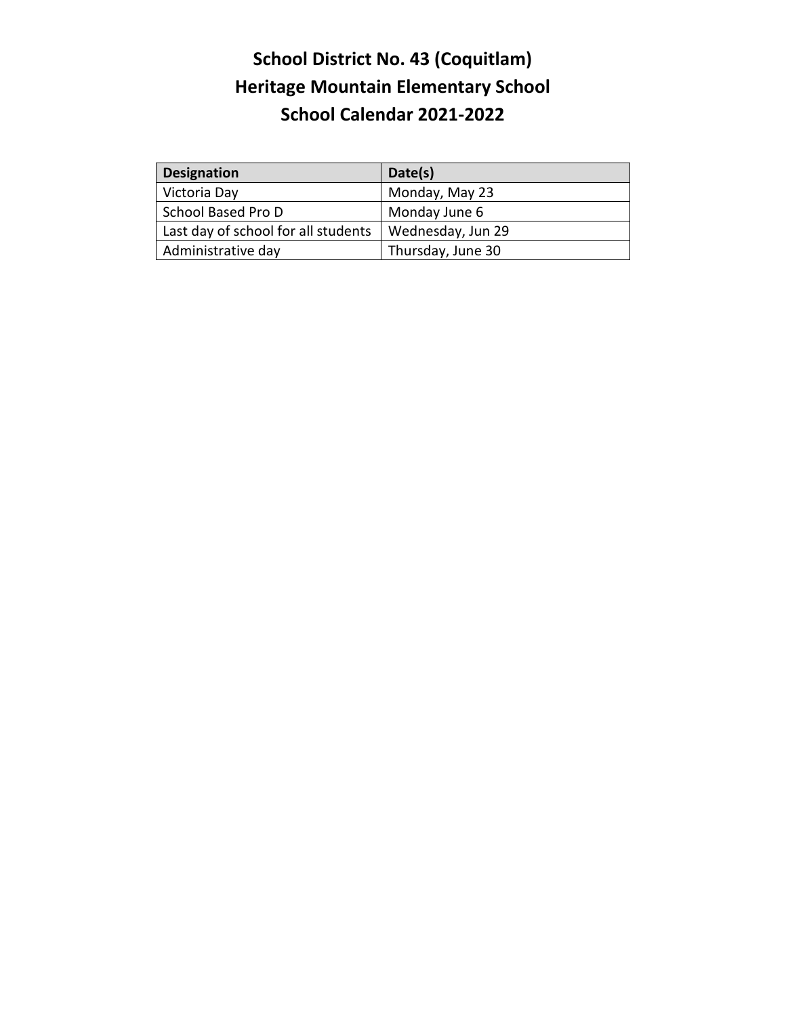## **School District No. 43 (Coquitlam) Heritage Mountain Elementary School School Calendar 2021-2022**

| <b>Designation</b>                  | Date(s)           |  |
|-------------------------------------|-------------------|--|
| Victoria Day                        | Monday, May 23    |  |
| School Based Pro D                  | Monday June 6     |  |
| Last day of school for all students | Wednesday, Jun 29 |  |
| Administrative day                  | Thursday, June 30 |  |